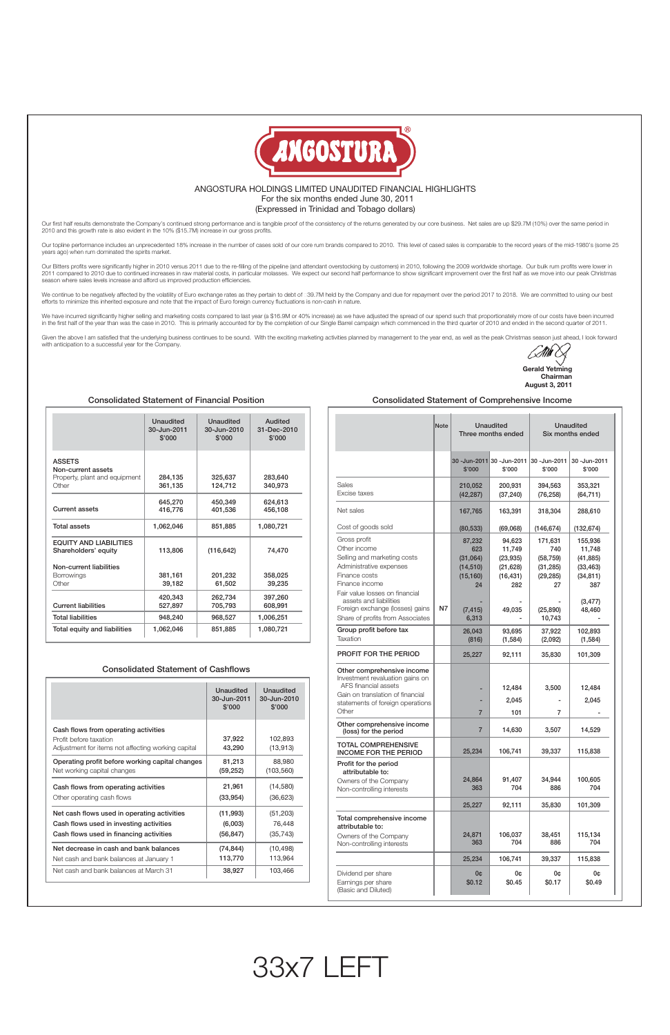

## ANGOSTURA HOLDINGS LIMITED UNAUDITED FINANCIAL HIGHLIGHTS For the six months ended June 30, 2011 (Expressed in Trinidad and Tobago dollars)

△ **Gerald Yetming Chairman August 3, 2011**

|                                                                               | Unaudited<br>30-Jun-2011<br>\$'000 | Unaudited<br>30-Jun-2010<br>\$'000 | Audited<br>31-Dec-2010<br>\$'000 |
|-------------------------------------------------------------------------------|------------------------------------|------------------------------------|----------------------------------|
| <b>ASSETS</b><br>Non-current assets<br>Property, plant and equipment<br>Other | 284,135<br>361,135                 | 325,637<br>124,712                 | 283,640<br>340,973               |
| Current assets                                                                | 645,270<br>416,776                 | 450,349<br>401,536                 | 624,613<br>456,108               |
| <b>Total assets</b>                                                           | 1,062,046                          | 851,885                            | 1,080,721                        |
| <b>EQUITY AND LIABILITIES</b><br>Shareholders' equity                         | 113,806                            | (116, 642)                         | 74,470                           |
| Non-current liabilities<br><b>Borrowings</b><br>Other                         | 381.161<br>39,182                  | 201.232<br>61,502                  | 358,025<br>39,235                |
| <b>Current liabilities</b>                                                    | 420,343<br>527,897                 | 262,734<br>705,793                 | 397,260<br>608,991               |
| <b>Total liabilities</b>                                                      | 948.240                            | 968.527                            | 1.006.251                        |
| Total equity and liabilities                                                  | 1,062,046                          | 851,885                            | 1,080,721                        |

## Consolidated Statement of Financial Position

|                                                                                                                      | Unaudited<br>30-Jun-2011<br>\$'000 | Unaudited<br>30-Jun-2010<br>\$'000 |
|----------------------------------------------------------------------------------------------------------------------|------------------------------------|------------------------------------|
| Cash flows from operating activities<br>Profit before taxation<br>Adjustment for items not affecting working capital | 37,922<br>43,290                   | 102,893<br>(13, 913)               |
| Operating profit before working capital changes                                                                      | 81,213                             | 88,980                             |
| Net working capital changes                                                                                          | (59, 252)                          | (103, 560)                         |
| Cash flows from operating activities                                                                                 | 21,961                             | (14, 580)                          |
| Other operating cash flows                                                                                           | (33, 954)                          | (36, 623)                          |
| Net cash flows used in operating activities                                                                          | (11, 993)                          | (51, 203)                          |
| Cash flows used in investing activities                                                                              | (6,003)                            | 76,448                             |
| Cash flows used in financing activities                                                                              | (56, 847)                          | (35, 743)                          |
| Net decrease in cash and bank balances                                                                               | (74, 844)                          | (10, 498)                          |
| Net cash and bank balances at January 1                                                                              | 113,770                            | 113,964                            |
| Net cash and bank balances at March 31                                                                               | 38,927                             | 103,466                            |

|  | <b>Consolidated Statement of Cashflows</b> |  |
|--|--------------------------------------------|--|
|--|--------------------------------------------|--|

## Consolidated Statement of Comprehensive Income

Our first half results demonstrate the Company's continued strong performance and is tangible proof of the consistency of the returns generated by our core business. Net sales are up \$29.7M (10%) over the same period in 2010 and this growth rate is also evident in the 10% (\$15.7M) increase in our gross profits.

|                                                                                                                                                                                                                          | <b>Note</b> |                                                           | <b>Unaudited</b><br>Three months ended                         | <b>Unaudited</b><br>Six months ended                        |                                                                             |  |
|--------------------------------------------------------------------------------------------------------------------------------------------------------------------------------------------------------------------------|-------------|-----------------------------------------------------------|----------------------------------------------------------------|-------------------------------------------------------------|-----------------------------------------------------------------------------|--|
|                                                                                                                                                                                                                          |             | 30 -Jun-2011<br>\$'000                                    | 30 -Jun-2011<br>\$'000                                         | 30-Jun-2011<br>\$'000                                       | 30-Jun-2011<br>\$'000                                                       |  |
| Sales<br>Excise taxes                                                                                                                                                                                                    |             | 210,052<br>(42, 287)                                      | 200,931<br>(37, 240)                                           | 394,563<br>(76, 258)                                        | 353,321<br>(64, 711)                                                        |  |
| Net sales                                                                                                                                                                                                                |             | 167,765                                                   | 163,391                                                        | 318,304                                                     | 288,610                                                                     |  |
| Cost of goods sold                                                                                                                                                                                                       |             | (80, 533)                                                 | (69,068)                                                       | (146, 674)                                                  | (132, 674)                                                                  |  |
| Gross profit<br>Other income<br>Selling and marketing costs<br>Administrative expenses<br>Finance costs<br>Finance income<br>Fair value losses on financial<br>assets and liabilities<br>Foreign exchange (losses) gains | N7          | 87,232<br>623<br>(31,064)<br>(14, 510)<br>(15, 160)<br>24 | 94,623<br>11,749<br>(23, 935)<br>(21, 628)<br>(16, 431)<br>282 | 171,631<br>740<br>(58, 759)<br>(31, 285)<br>(29, 285)<br>27 | 155,936<br>11,748<br>(41, 885)<br>(33, 463)<br>(34, 811)<br>387<br>(3, 477) |  |
| Share of profits from Associates                                                                                                                                                                                         |             | (7, 415)<br>6,313                                         | 49,035                                                         | (25, 890)<br>10,743                                         | 48,460                                                                      |  |
| Group profit before tax<br>Taxation                                                                                                                                                                                      |             | 26,043<br>(816)                                           | 93,695<br>(1, 584)                                             | 37,922<br>(2,092)                                           | 102,893<br>(1, 584)                                                         |  |
| <b>PROFIT FOR THE PERIOD</b>                                                                                                                                                                                             |             | 25,227                                                    | 92,111                                                         | 35,830                                                      | 101,309                                                                     |  |
| Other comprehensive income<br>Investment revaluation gains on<br>AFS financial assets<br>Gain on translation of financial<br>statements of foreign operations<br>Other                                                   |             | $\overline{7}$                                            | 12,484<br>2,045<br>101                                         | 3,500<br>7                                                  | 12,484<br>2,045                                                             |  |
| Other comprehensive income<br>(loss) for the period                                                                                                                                                                      |             | $\overline{7}$                                            | 14,630                                                         | 3,507                                                       | 14,529                                                                      |  |
| <b>TOTAL COMPREHENSIVE</b><br><b>INCOME FOR THE PERIOD</b>                                                                                                                                                               |             | 25,234                                                    | 106,741                                                        | 39,337                                                      | 115,838                                                                     |  |
| Profit for the period<br>attributable to:<br>Owners of the Company<br>Non-controlling interests                                                                                                                          |             | 24,864<br>363                                             | 91,407<br>704                                                  | 34,944<br>886                                               | 100,605<br>704                                                              |  |
|                                                                                                                                                                                                                          |             | 25,227                                                    | 92,111                                                         | 35,830                                                      | 101,309                                                                     |  |
| Total comprehensive income<br>attributable to:<br>Owners of the Company<br>Non-controlling interests                                                                                                                     |             | 24,871<br>363<br>25,234                                   | 106,037<br>704<br>106,741                                      | 38,451<br>886<br>39,337                                     | 115,134<br>704<br>115,838                                                   |  |
| Dividend per share<br>Earnings per share<br>(Basic and Diluted)                                                                                                                                                          |             | 0¢<br>\$0.12                                              | 0¢<br>\$0.45                                                   | 0¢<br>\$0.17                                                | 0¢<br>\$0.49                                                                |  |

Our Bitters profits were significantly higher in 2010 versus 2011 due to the re-filling of the pipeline (and attendant overstocking by customers) in 2010, following the 2009 worldwide shortage. Our bulk rum profits were lo 2011 compared to 2010 due to continued increases in raw material costs, in particular molasses. We expect our second half performance to show significant improvement over the first half as we move into our peak Christmas season where sales levels increase and afford us improved production efficiencies.

We continue to be negatively affected by the volatility of Euro exchange rates as they pertain to debt of €39.7M held by the Company and due for repayment over the period 2017 to 2018. We are committed to using our best efforts to minimize this inherited exposure and note that the impact of Euro foreign currency fluctuations is non-cash in nature.

We have incurred significantly higher selling and marketing costs compared to last year (a \$16.9M or 40% increase) as we have adjusted the spread of our spend such that proportionately more of our costs have been incurred in the first half of the year than was the case in 2010. This is primarily accounted for by the completion of our Single Barrel campaign which commenced in the third quarter of 2010 and ended in the second quarter of 2011.

Given the above I am satisfied that the underlying business continues to be sound. With the exciting marketing activities planned by management to the year end, as well as the peak Christmas season just ahead, I look forwa with anticipation to a successful year for the Company.

Our topline performance includes an unprecedented 18% increase in the number of cases sold of our core rum brands compared to 2010. This level of cased sales is comparable to the record years of the mid-1980's (some 25 years ago) when rum dominated the spirits market.

# 33x7 LEFT